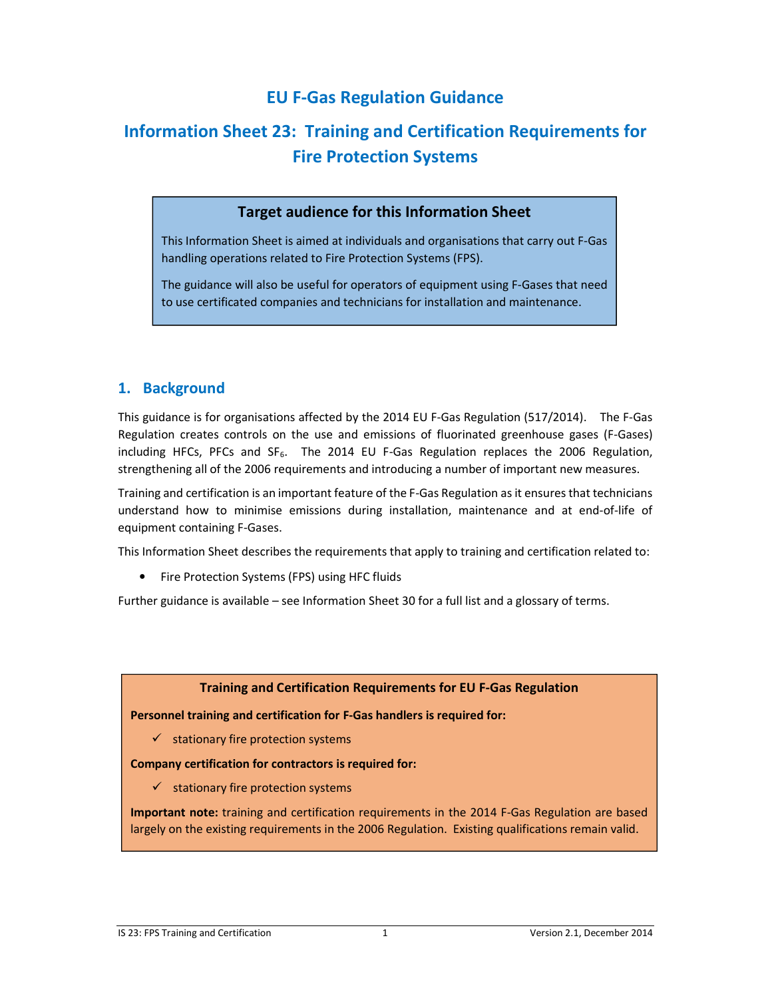# **EU F-Gas Regulation Guidance**

# **Information Sheet 23: Training and Certification Requirements for Fire Protection Systems**

### **Target audience for this Information Sheet**

This Information Sheet is aimed at individuals and organisations that carry out F-Gas handling operations related to Fire Protection Systems (FPS).

The guidance will also be useful for operators of equipment using F-Gases that need to use certificated companies and technicians for installation and maintenance.

### **1. Background**

This guidance is for organisations affected by the 2014 EU F-Gas Regulation (517/2014). The F-Gas Regulation creates controls on the use and emissions of fluorinated greenhouse gases (F-Gases) including HFCs, PFCs and SF<sub>6</sub>. The 2014 EU F-Gas Regulation replaces the 2006 Regulation, strengthening all of the 2006 requirements and introducing a number of important new measures.

Training and certification is an important feature of the F-Gas Regulation as it ensures that technicians understand how to minimise emissions during installation, maintenance and at end-of-life of equipment containing F-Gases.

This Information Sheet describes the requirements that apply to training and certification related to:

• Fire Protection Systems (FPS) using HFC fluids

Further guidance is available – see Information Sheet 30 for a full list and a glossary of terms.

### **Training and Certification Requirements for EU F-Gas Regulation**

**Personnel training and certification for F-Gas handlers is required for:** 

 $\checkmark$  stationary fire protection systems

**Company certification for contractors is required for:** 

 $\checkmark$  stationary fire protection systems

**Important note:** training and certification requirements in the 2014 F-Gas Regulation are based largely on the existing requirements in the 2006 Regulation. Existing qualifications remain valid.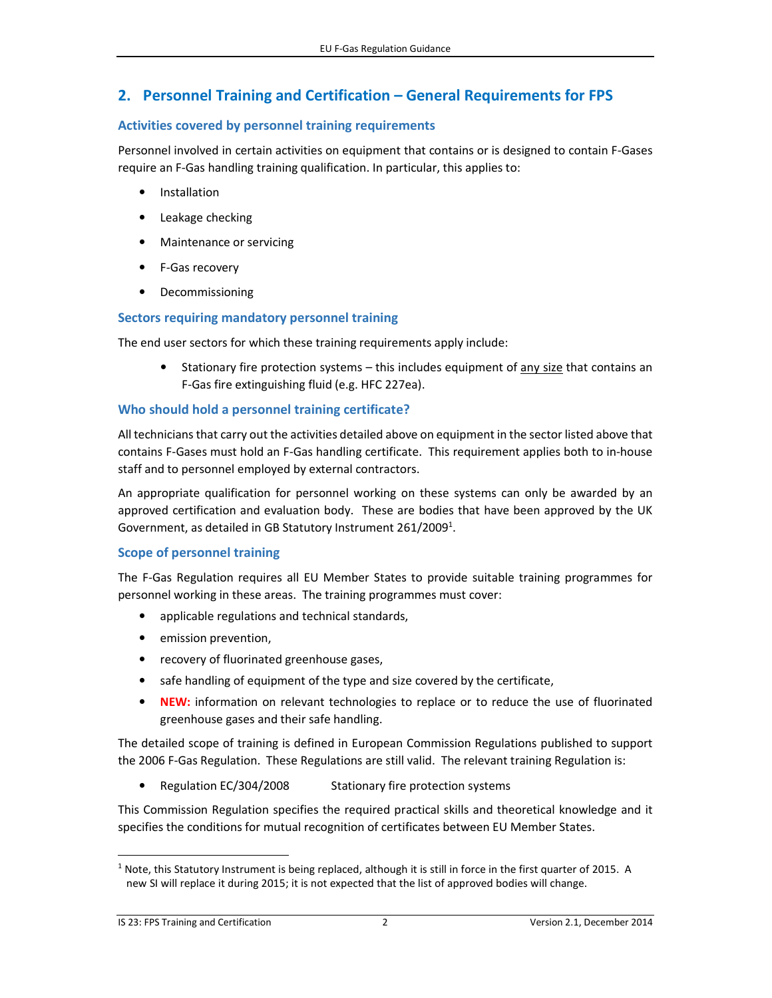## **2. Personnel Training and Certification – General Requirements for FPS**

### **Activities covered by personnel training requirements**

Personnel involved in certain activities on equipment that contains or is designed to contain F-Gases require an F-Gas handling training qualification. In particular, this applies to:

- Installation
- Leakage checking
- Maintenance or servicing
- F-Gas recovery
- Decommissioning

### **Sectors requiring mandatory personnel training**

The end user sectors for which these training requirements apply include:

• Stationary fire protection systems – this includes equipment of any size that contains an F-Gas fire extinguishing fluid (e.g. HFC 227ea).

### **Who should hold a personnel training certificate?**

All technicians that carry out the activities detailed above on equipment in the sector listed above that contains F-Gases must hold an F-Gas handling certificate. This requirement applies both to in-house staff and to personnel employed by external contractors.

An appropriate qualification for personnel working on these systems can only be awarded by an approved certification and evaluation body. These are bodies that have been approved by the UK Government, as detailed in GB Statutory Instrument 261/2009<sup>1</sup>.

### **Scope of personnel training**

The F-Gas Regulation requires all EU Member States to provide suitable training programmes for personnel working in these areas. The training programmes must cover:

- applicable regulations and technical standards,
- emission prevention,
- recovery of fluorinated greenhouse gases,
- safe handling of equipment of the type and size covered by the certificate,
- **NEW:** information on relevant technologies to replace or to reduce the use of fluorinated greenhouse gases and their safe handling.

The detailed scope of training is defined in European Commission Regulations published to support the 2006 F-Gas Regulation. These Regulations are still valid. The relevant training Regulation is:

• Regulation EC/304/2008 Stationary fire protection systems

This Commission Regulation specifies the required practical skills and theoretical knowledge and it specifies the conditions for mutual recognition of certificates between EU Member States.

l,

<sup>&</sup>lt;sup>1</sup> Note, this Statutory Instrument is being replaced, although it is still in force in the first quarter of 2015. A new SI will replace it during 2015; it is not expected that the list of approved bodies will change.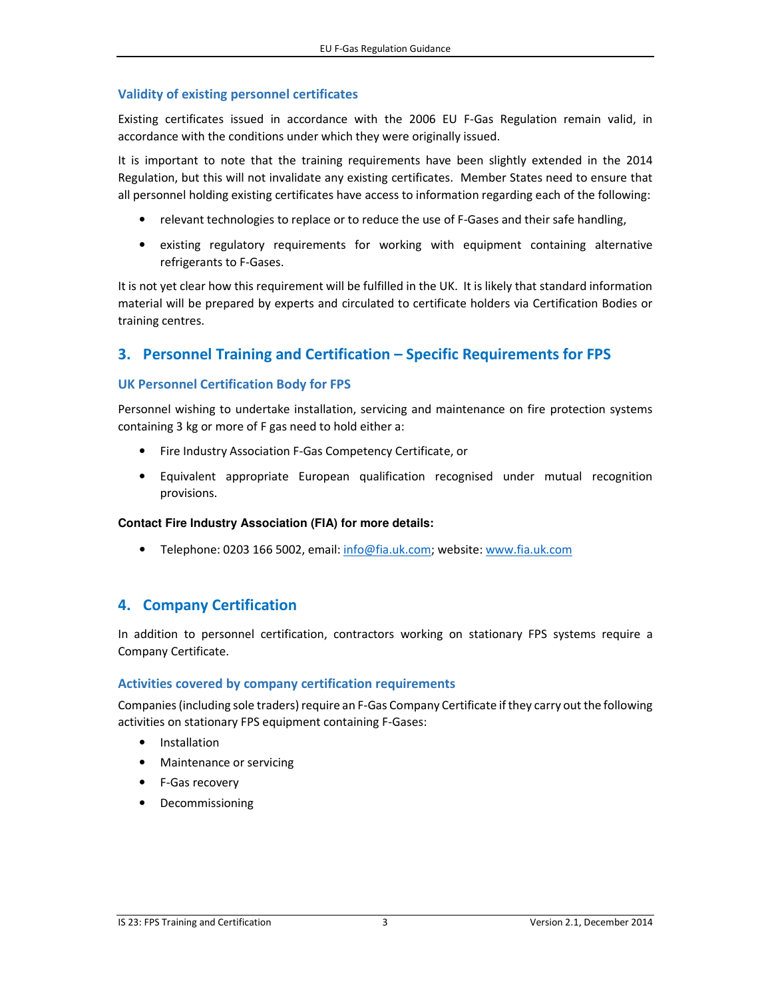### **Validity of existing personnel certificates**

Existing certificates issued in accordance with the 2006 EU F-Gas Regulation remain valid, in accordance with the conditions under which they were originally issued.

It is important to note that the training requirements have been slightly extended in the 2014 Regulation, but this will not invalidate any existing certificates. Member States need to ensure that all personnel holding existing certificates have access to information regarding each of the following:

- relevant technologies to replace or to reduce the use of F-Gases and their safe handling,
- existing regulatory requirements for working with equipment containing alternative refrigerants to F-Gases.

It is not yet clear how this requirement will be fulfilled in the UK. It is likely that standard information material will be prepared by experts and circulated to certificate holders via Certification Bodies or training centres.

### **3. Personnel Training and Certification – Specific Requirements for FPS**

### **UK Personnel Certification Body for FPS**

Personnel wishing to undertake installation, servicing and maintenance on fire protection systems containing 3 kg or more of F gas need to hold either a:

- Fire Industry Association F-Gas Competency Certificate, or
- Equivalent appropriate European qualification recognised under mutual recognition provisions.

### **Contact Fire Industry Association (FIA) for more details:**

• Telephone: 0203 166 5002, email: info@fia.uk.com; website: www.fia.uk.com

### **4. Company Certification**

In addition to personnel certification, contractors working on stationary FPS systems require a Company Certificate.

### **Activities covered by company certification requirements**

Companies (including sole traders) require an F-Gas Company Certificate if they carry out the following activities on stationary FPS equipment containing F-Gases:

- Installation
- Maintenance or servicing
- F-Gas recovery
- Decommissioning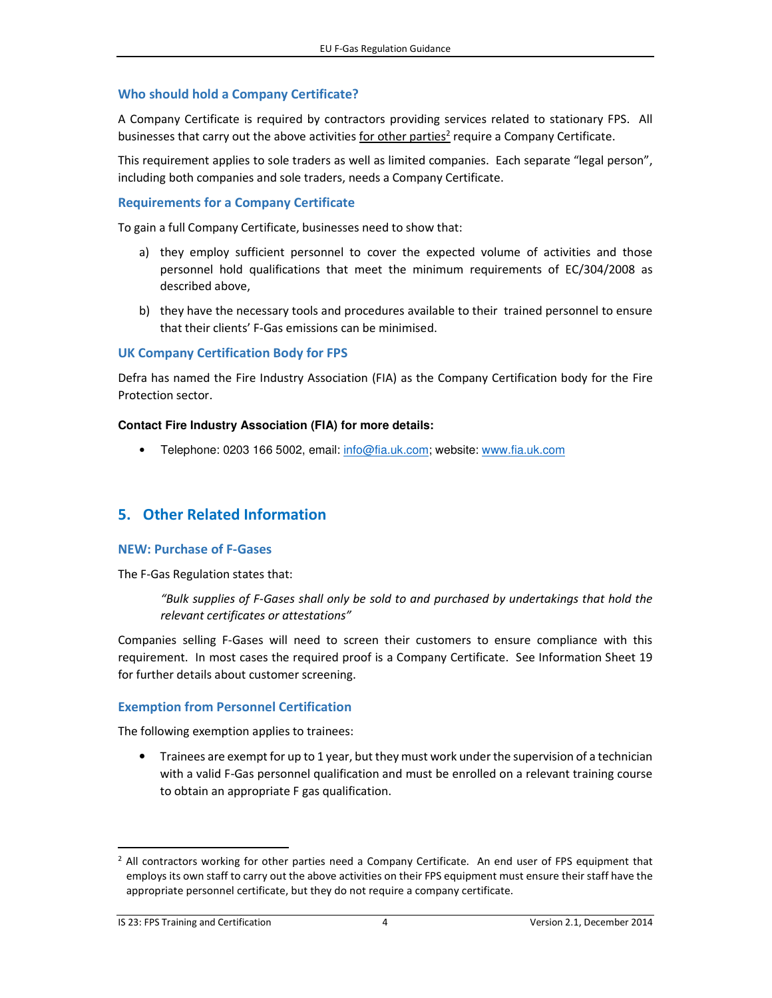### **Who should hold a Company Certificate?**

A Company Certificate is required by contractors providing services related to stationary FPS. All businesses that carry out the above activities for other parties<sup>2</sup> require a Company Certificate.

This requirement applies to sole traders as well as limited companies. Each separate "legal person", including both companies and sole traders, needs a Company Certificate.

### **Requirements for a Company Certificate**

To gain a full Company Certificate, businesses need to show that:

- a) they employ sufficient personnel to cover the expected volume of activities and those personnel hold qualifications that meet the minimum requirements of EC/304/2008 as described above,
- b) they have the necessary tools and procedures available to their trained personnel to ensure that their clients' F-Gas emissions can be minimised.

### **UK Company Certification Body for FPS**

Defra has named the Fire Industry Association (FIA) as the Company Certification body for the Fire Protection sector.

### **Contact Fire Industry Association (FIA) for more details:**

• Telephone: 0203 166 5002, email: info@fia.uk.com; website: www.fia.uk.com

### **5. Other Related Information**

### **NEW: Purchase of F-Gases**

The F-Gas Regulation states that:

*"Bulk supplies of F-Gases shall only be sold to and purchased by undertakings that hold the relevant certificates or attestations"*

Companies selling F-Gases will need to screen their customers to ensure compliance with this requirement. In most cases the required proof is a Company Certificate. See Information Sheet 19 for further details about customer screening.

### **Exemption from Personnel Certification**

The following exemption applies to trainees:

• Trainees are exempt for up to 1 year, but they must work under the supervision of a technician with a valid F-Gas personnel qualification and must be enrolled on a relevant training course to obtain an appropriate F gas qualification.

l,

<sup>&</sup>lt;sup>2</sup> All contractors working for other parties need a Company Certificate. An end user of FPS equipment that employs its own staff to carry out the above activities on their FPS equipment must ensure their staff have the appropriate personnel certificate, but they do not require a company certificate.